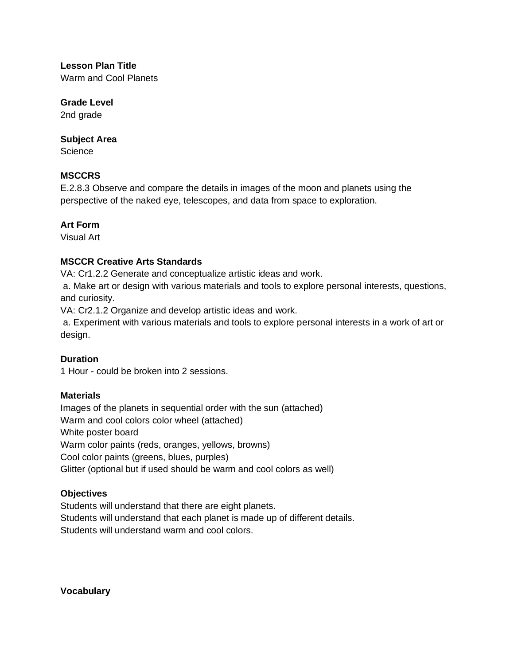**Lesson Plan Title** 

Warm and Cool Planets

# **Grade Level**

2nd grade

### **Subject Area**

**Science** 

# **MSCCRS**

E.2.8.3 Observe and compare the details in images of the moon and planets using the perspective of the naked eye, telescopes, and data from space to exploration.

# **Art Form**

Visual Art

# **MSCCR Creative Arts Standards**

VA: Cr1.2.2 Generate and conceptualize artistic ideas and work.

a. Make art or design with various materials and tools to explore personal interests, questions, and curiosity.

VA: Cr2.1.2 Organize and develop artistic ideas and work.

a. Experiment with various materials and tools to explore personal interests in a work of art or design.

## **Duration**

1 Hour - could be broken into 2 sessions.

## **Materials**

Images of the planets in sequential order with the sun (attached) Warm and cool colors color wheel (attached) White poster board Warm color paints (reds, oranges, yellows, browns) Cool color paints (greens, blues, purples) Glitter (optional but if used should be warm and cool colors as well)

## **Objectives**

Students will understand that there are eight planets. Students will understand that each planet is made up of different details. Students will understand warm and cool colors.

**Vocabulary**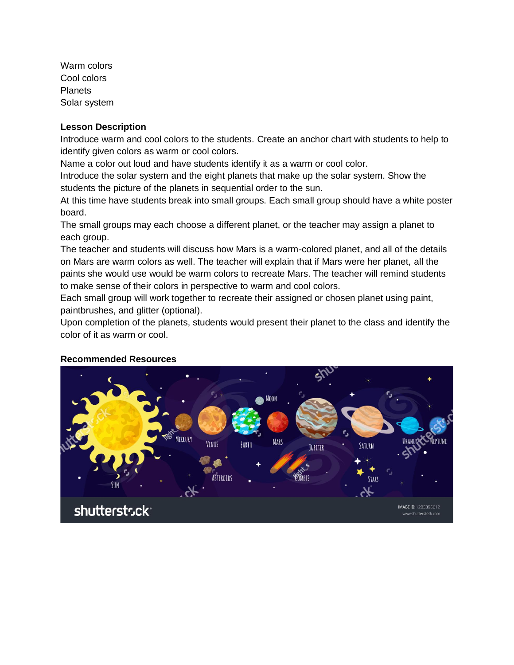Warm colors Cool colors **Planets** Solar system

#### **Lesson Description**

Introduce warm and cool colors to the students. Create an anchor chart with students to help to identify given colors as warm or cool colors.

Name a color out loud and have students identify it as a warm or cool color.

Introduce the solar system and the eight planets that make up the solar system. Show the students the picture of the planets in sequential order to the sun.

At this time have students break into small groups. Each small group should have a white poster board.

The small groups may each choose a different planet, or the teacher may assign a planet to each group.

The teacher and students will discuss how Mars is a warm-colored planet, and all of the details on Mars are warm colors as well. The teacher will explain that if Mars were her planet, all the paints she would use would be warm colors to recreate Mars. The teacher will remind students to make sense of their colors in perspective to warm and cool colors.

Each small group will work together to recreate their assigned or chosen planet using paint, paintbrushes, and glitter (optional).

Upon completion of the planets, students would present their planet to the class and identify the color of it as warm or cool.



#### **Recommended Resources**